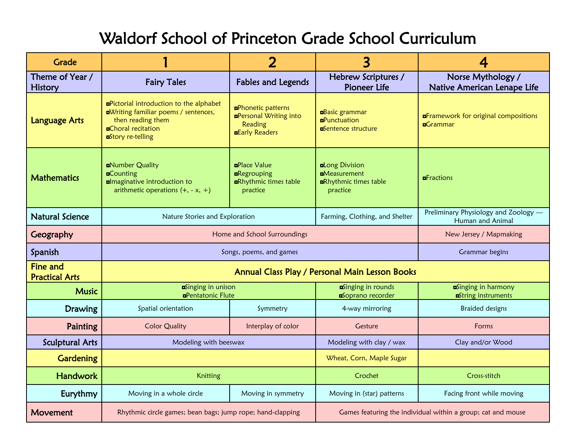## Waldorf School of Princeton Grade School Curriculum

| <b>Grade</b>                             |                                                                                                                                                                      | $\overline{2}$                                                                                 | 3                                                                                 |                                                                 |  |  |
|------------------------------------------|----------------------------------------------------------------------------------------------------------------------------------------------------------------------|------------------------------------------------------------------------------------------------|-----------------------------------------------------------------------------------|-----------------------------------------------------------------|--|--|
| Theme of Year /<br><b>History</b>        | <b>Fairy Tales</b>                                                                                                                                                   | <b>Fables and Legends</b>                                                                      | Hebrew Scriptures /<br><b>Pioneer Life</b>                                        | Norse Mythology /<br>Native American Lenape Life                |  |  |
| <b>Language Arts</b>                     | <b>¤Pictorial introduction to the alphabet</b><br>aWriting familiar poems / sentences,<br>then reading them<br><b>¤Choral recitation</b><br><b>¤Story re-telling</b> | <b>aPhonetic patterns</b><br><b>¤Personal Writing into</b><br>Reading<br><b>¤Early Readers</b> | <b>Basic</b> grammar<br><b><u>aPunctuation</u></b><br><b>E</b> Sentence structure | <b>¤Framework for original compositions</b><br><b>¤</b> Grammar |  |  |
| <b>Mathematics</b>                       | <b>n</b> Number Quality<br><b>¤C</b> ounting<br>almaginative introduction to<br>arithmetic operations $(+, -x, \div)$                                                | <b>¤Place Value</b><br><b>E</b> Regrouping<br><b>ERhythmic times table</b><br>practice         | aLong Division<br><b>n</b> Measurement<br>Rhythmic times table<br>practice        | <b>¤Fractions</b>                                               |  |  |
| <b>Natural Science</b>                   | Nature Stories and Exploration                                                                                                                                       |                                                                                                | Farming, Clothing, and Shelter                                                    | Preliminary Physiology and Zoology -<br>Human and Animal        |  |  |
| Geography                                |                                                                                                                                                                      | Home and School Surroundings                                                                   |                                                                                   | New Jersey / Mapmaking                                          |  |  |
| Spanish                                  | Songs, poems, and games                                                                                                                                              |                                                                                                |                                                                                   | Grammar begins                                                  |  |  |
| <b>Fine and</b><br><b>Practical Arts</b> | Annual Class Play / Personal Main Lesson Books                                                                                                                       |                                                                                                |                                                                                   |                                                                 |  |  |
| <b>Music</b>                             | <b>Binging</b> in unison<br><b>¤Pentatonic Flute</b>                                                                                                                 |                                                                                                | aSinging in rounds<br><b>n</b> Soprano recorder                                   | aSinging in harmony<br>aString instruments                      |  |  |
| Drawing                                  | Spatial orientation                                                                                                                                                  | Symmetry                                                                                       | 4-way mirroring                                                                   | <b>Braided designs</b>                                          |  |  |
| Painting                                 | <b>Color Quality</b>                                                                                                                                                 | Interplay of color                                                                             | Gesture                                                                           | Forms                                                           |  |  |
| <b>Sculptural Arts</b>                   | Modeling with beeswax                                                                                                                                                |                                                                                                | Modeling with clay / wax                                                          | Clay and/or Wood                                                |  |  |
| <b>Gardening</b>                         |                                                                                                                                                                      |                                                                                                | Wheat, Corn, Maple Sugar                                                          |                                                                 |  |  |
| Handwork                                 | Knitting                                                                                                                                                             |                                                                                                | Crochet                                                                           | Cross-stitch                                                    |  |  |
| Eurythmy                                 | Moving in a whole circle                                                                                                                                             | Moving in symmetry                                                                             | Moving in (star) patterns                                                         | Facing front while moving                                       |  |  |
| Movement                                 | Rhythmic circle games; bean bags; jump rope; hand-clapping                                                                                                           |                                                                                                | Games featuring the individual within a group; cat and mouse                      |                                                                 |  |  |